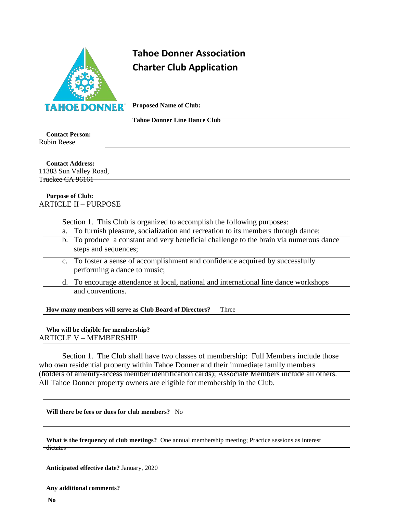

## **Tahoe Donner Association Charter Club Application**

**Proposed Name of Club:**

**Tahoe Donner Line Dance Club**

**Contact Person:** Robin Reese

**Contact Address:** 11383 Sun Valley Road, Truckee CA 96161

## **Purpose of Club:** ARTICLE II – PURPOSE

Section 1. This Club is organized to accomplish the following purposes:

- a. To furnish pleasure, socialization and recreation to its members through dance;
- b. To produce a constant and very beneficial challenge to the brain via numerous dance steps and sequences;
- c. To foster a sense of accomplishment and confidence acquired by successfully performing a dance to music;
- d. To encourage attendance at local, national and international line dance workshops and conventions.

**How many members will serve as Club Board of Directors?** Three

## **Who will be eligible for membership?** ARTICLE V – MEMBERSHIP

Section 1. The Club shall have two classes of membership: Full Members include those who own residential property within Tahoe Donner and their immediate family members (holders of amenity-access member identification cards); Associate Members include all others. All Tahoe Donner property owners are eligible for membership in the Club.

**Will there be fees or dues for club members?** No

|                     | What is the frequency of club meetings? One annual membership meeting; Practice sessions as interest |
|---------------------|------------------------------------------------------------------------------------------------------|
| <del>dictates</del> |                                                                                                      |
|                     |                                                                                                      |

**Anticipated effective date?** January, 2020

**Any additional comments?**